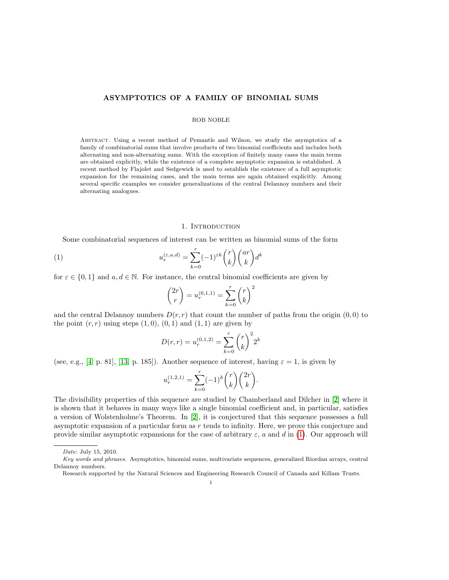## ASYMPTOTICS OF A FAMILY OF BINOMIAL SUMS

## ROB NOBLE

Abstract. Using a recent method of Pemantle and Wilson, we study the asymptotics of a family of combinatorial sums that involve products of two binomial coefficients and includes both alternating and non-alternating sums. With the exception of finitely many cases the main terms are obtained explicitly, while the existence of a complete asymptotic expansion is established. A recent method by Flajolet and Sedgewick is used to establish the existence of a full asymptotic expansion for the remaining cases, and the main terms are again obtained explicitly. Among several specific examples we consider generalizations of the central Delannoy numbers and their alternating analogues.

## 1. INTRODUCTION

Some combinatorial sequences of interest can be written as binomial sums of the form

(1) 
$$
u_r^{(\varepsilon, a, d)} = \sum_{k=0}^r (-1)^{\varepsilon k} \binom{r}{k} \binom{ar}{k} d^k
$$

for  $\varepsilon \in \{0,1\}$  and  $a, d \in \mathbb{N}$ . For instance, the central binomial coefficients are given by

<span id="page-0-0"></span>
$$
\binom{2r}{r} = u_r^{(0,1,1)} = \sum_{k=0}^r \binom{r}{k}^2
$$

and the central Delannoy numbers  $D(r, r)$  that count the number of paths from the origin  $(0, 0)$  to the point  $(r, r)$  using steps  $(1, 0), (0, 1)$  and  $(1, 1)$  are given by

$$
D(r,r) = u_r^{(0,1,2)} = \sum_{k=0}^r \binom{r}{k}^2 2^k
$$

(see, e.g., [\[4,](#page-21-0) p. 81], [\[13,](#page-21-1) p. 185]). Another sequence of interest, having  $\varepsilon = 1$ , is given by

$$
u_r^{(1,2,1)} = \sum_{k=0}^r (-1)^k \binom{r}{k} \binom{2r}{k}.
$$

The divisibility properties of this sequence are studied by Chamberland and Dilcher in [\[2\]](#page-21-2) where it is shown that it behaves in many ways like a single binomial coefficient and, in particular, satisfies a version of Wolstenholme's Theorem. In [\[2\]](#page-21-2), it is conjectured that this sequence possesses a full asymptotic expansion of a particular form as  $r$  tends to infinity. Here, we prove this conjecture and provide similar asymptotic expansions for the case of arbitrary  $\varepsilon$ , a and d in [\(1\)](#page-0-0). Our approach will

Date: July 15, 2010.

Key words and phrases. Asymptotics, binomial sums, multivariate sequences, generalized Riordan arrays, central Delannoy numbers.

Research supported by the Natural Sciences and Engineering Research Council of Canada and Killam Trusts.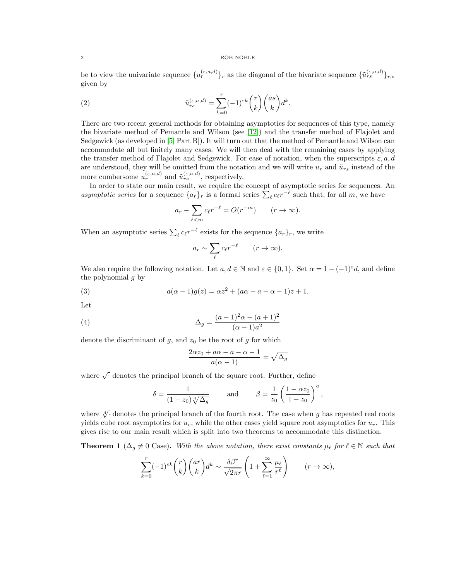be to view the univariate sequence  $\{u_r^{(\varepsilon,a,d)}\}_r$  as the diagonal of the bivariate sequence  $\{\tilde{u}_{rs}^{(\varepsilon,a,d)}\}_{r,s}$ given by

(2) 
$$
\tilde{u}_{rs}^{(\varepsilon,a,d)} = \sum_{k=0}^{r} (-1)^{\varepsilon k} {r \choose k} {as \choose k} d^k.
$$

There are two recent general methods for obtaining asymptotics for sequences of this type, namely the bivariate method of Pemantle and Wilson (see [\[12\]](#page-21-3)) and the transfer method of Flajolet and Sedgewick (as developed in [\[5,](#page-21-4) Part B]). It will turn out that the method of Pemantle and Wilson can accommodate all but finitely many cases. We will then deal with the remaining cases by applying the transfer method of Flajolet and Sedgewick. For ease of notation, when the superscripts  $\varepsilon, a, d$ are understood, they will be omitted from the notation and we will write  $u_r$  and  $\tilde{u}_{rs}$  instead of the more cumbersome  $u_r^{(\varepsilon,a,d)}$  and  $\tilde{u}_{rs}^{(\varepsilon,a,d)}$ , respectively.

In order to state our main result, we require the concept of asymptotic series for sequences. An asymptotic series for a sequence  $\{a_r\}_r$  is a formal series  $\sum_\ell c_\ell r^{-\ell}$  such that, for all m, we have

$$
a_r - \sum_{\ell < m} c_\ell r^{-\ell} = O(r^{-m}) \qquad (r \to \infty).
$$

When an asymptotic series  $\sum_{\ell} c_{\ell} r^{-\ell}$  exists for the sequence  $\{a_r\}_r$ , we write

<span id="page-1-1"></span>
$$
a_r \sim \sum_{\ell} c_{\ell} r^{-\ell} \qquad (r \to \infty).
$$

We also require the following notation. Let  $a, d \in \mathbb{N}$  and  $\varepsilon \in \{0, 1\}$ . Set  $\alpha = 1 - (-1)^{\varepsilon}d$ , and define the polynomial  $g$  by

(3) 
$$
a(\alpha - 1)g(z) = \alpha z^2 + (a\alpha - a - \alpha - 1)z + 1.
$$

Let

(4) 
$$
\Delta_g = \frac{(a-1)^2 \alpha - (a+1)^2}{(\alpha - 1)a^2}
$$

denote the discriminant of  $g$ , and  $z_0$  be the root of  $g$  for which

<span id="page-1-2"></span>
$$
\frac{2\alpha z_0 + a\alpha - a - \alpha - 1}{a(\alpha - 1)} = \sqrt{\Delta_g}
$$

where  $\sqrt{\cdot}$  denotes the principal branch of the square root. Further, define

$$
\delta = \frac{1}{(1-z_0)\sqrt[4]{\Delta_g}} \quad \text{and} \quad \beta = \frac{1}{z_0} \left(\frac{1-\alpha z_0}{1-z_0}\right)^a,
$$

where  $\sqrt[4]{\cdot}$  denotes the principal branch of the fourth root. The case when g has repeated real roots yields cube root asymptotics for  $u_r$ , while the other cases yield square root asymptotics for  $u_r$ . This gives rise to our main result which is split into two theorems to accommodate this distinction.

<span id="page-1-0"></span>**Theorem 1** ( $\Delta_q \neq 0$  Case). With the above notation, there exist constants  $\mu_\ell$  for  $\ell \in \mathbb{N}$  such that

$$
\sum_{k=0}^r (-1)^{\varepsilon k} \binom{r}{k} \binom{ar}{k} d^k \sim \frac{\delta \beta^r}{\sqrt{2\pi r}} \left( 1 + \sum_{\ell=1}^\infty \frac{\mu_\ell}{r^\ell} \right) \qquad (r \to \infty),
$$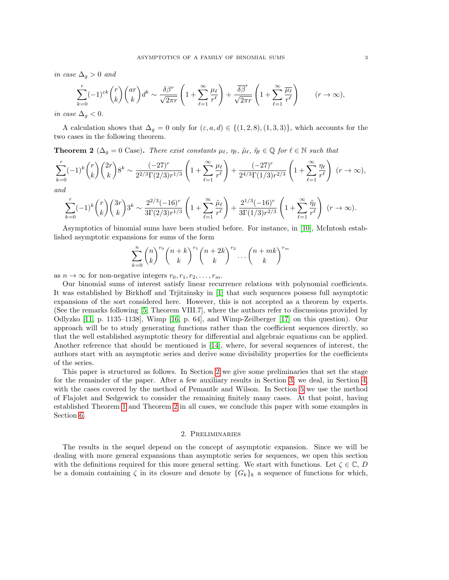in case  $\Delta_g > 0$  and

$$
\sum_{k=0}^{r}(-1)^{\varepsilon k}\binom{r}{k}\binom{ar}{k}d^{k} \sim \frac{\delta\beta^{r}}{\sqrt{2\pi r}}\left(1+\sum_{\ell=1}^{\infty}\frac{\mu_{\ell}}{r^{\ell}}\right)+\frac{\overline{\delta\beta}^{r}}{\sqrt{2\pi r}}\left(1+\sum_{\ell=1}^{\infty}\frac{\overline{\mu_{\ell}}}{r^{\ell}}\right) \qquad (r\to\infty),
$$

in case  $\Delta_g < 0$ .

A calculation shows that  $\Delta_g = 0$  only for  $(\varepsilon, a, d) \in \{(1, 2, 8), (1, 3, 3)\}$ , which accounts for the two cases in the following theorem.

<span id="page-2-1"></span>**Theorem 2** ( $\Delta_q = 0$  Case). There exist constants  $\mu_\ell$ ,  $\eta_\ell$ ,  $\tilde{\mu}_\ell$ ,  $\tilde{\eta}_\ell \in \mathbb{Q}$  for  $\ell \in \mathbb{N}$  such that

$$
\sum_{k=0}^{r} (-1)^{k} {r \choose k} {2r \choose k} 8^{k} \sim \frac{(-27)^{r}}{2^{2/3} \Gamma(2/3) r^{1/3}} \left(1 + \sum_{\ell=1}^{\infty} \frac{\mu_{\ell}}{r^{\ell}}\right) + \frac{(-27)^{r}}{2^{4/3} \Gamma(1/3) r^{2/3}} \left(1 + \sum_{\ell=1}^{\infty} \frac{\eta_{\ell}}{r^{\ell}}\right) (r \to \infty),
$$
  
and

$$
\sum_{k=0}^r (-1)^k \binom{r}{k} \binom{3r}{k} 3^k \sim \frac{2^{2/3}(-16)^r}{3\Gamma(2/3)r^{1/3}} \left(1 + \sum_{\ell=1}^\infty \frac{\tilde\mu_\ell}{r^\ell}\right) + \frac{2^{1/3}(-16)^r}{3\Gamma(1/3)r^{2/3}} \left(1 + \sum_{\ell=1}^\infty \frac{\tilde\eta_\ell}{r^\ell}\right) \ (r \to \infty).
$$

Asymptotics of binomial sums have been studied before. For instance, in [\[10\]](#page-21-5), McIntosh established asymptotic expansions for sums of the form

$$
\sum_{k=0}^{n} \binom{n}{k}^{r_0} \binom{n+k}{k}^{r_1} \binom{n+2k}{k}^{r_2} \cdots \binom{n+mk}{k}^{r_m}
$$

as  $n \to \infty$  for non-negative integers  $r_0, r_1, r_2, \ldots, r_m$ .

Our binomial sums of interest satisfy linear recurrence relations with polynomial coefficients. It was established by Birkhoff and Trjitzinsky in [\[1\]](#page-21-6) that such sequences possess full asymptotic expansions of the sort considered here. However, this is not accepted as a theorem by experts. (See the remarks following [\[5,](#page-21-4) Theorem VIII.7], where the authors refer to discussions provided by Odlyzko [\[11,](#page-21-7) p. 1135–1138], Wimp [\[16,](#page-21-8) p. 64], and Wimp-Zeilberger [\[17\]](#page-21-9) on this question). Our approach will be to study generating functions rather than the coefficient sequences directly, so that the well established asymptotic theory for differential and algebraic equations can be applied. Another reference that should be mentioned is [\[14\]](#page-21-10), where, for several sequences of interest, the authors start with an asymptotic series and derive some divisibility properties for the coefficients of the series.

This paper is structured as follows. In Section [2](#page-2-0) we give some preliminaries that set the stage for the remainder of the paper. After a few auxiliary results in Section [3,](#page-7-0) we deal, in Section [4,](#page-9-0) with the cases covered by the method of Pemantle and Wilson. In Section [5](#page-15-0) we use the method of Flajolet and Sedgewick to consider the remaining finitely many cases. At that point, having established Theorem [1](#page-1-0) and Theorem [2](#page-2-1) in all cases, we conclude this paper with some examples in Section [6.](#page-19-0)

## 2. Preliminaries

<span id="page-2-0"></span>The results in the sequel depend on the concept of asymptotic expansion. Since we will be dealing with more general expansions than asymptotic series for sequences, we open this section with the definitions required for this more general setting. We start with functions. Let  $\zeta \in \mathbb{C}$ , D be a domain containing  $\zeta$  in its closure and denote by  $\{G_k\}_k$  a sequence of functions for which,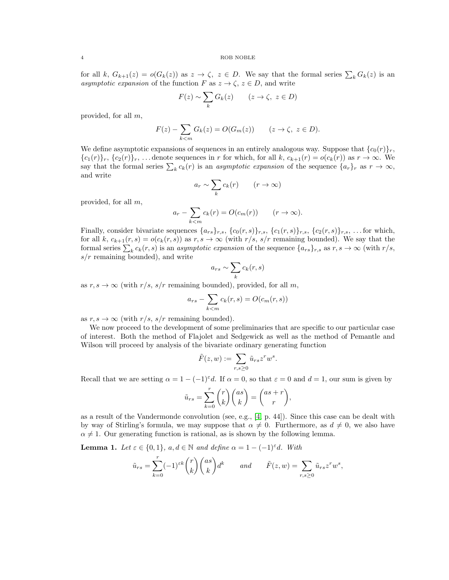for all k,  $G_{k+1}(z) = o(G_k(z))$  as  $z \to \zeta$ ,  $z \in D$ . We say that the formal series  $\sum_k G_k(z)$  is an asymptotic expansion of the function F as  $z \to \zeta$ ,  $z \in D$ , and write

$$
F(z) \sim \sum_{k} G_{k}(z) \qquad (z \to \zeta, \ z \in D)
$$

provided, for all m,

$$
F(z) - \sum_{k < m} G_k(z) = O(G_m(z)) \qquad (z \to \zeta, \ z \in D).
$$

We define asymptotic expansions of sequences in an entirely analogous way. Suppose that  ${c_0(r)}_r$ ,  ${c_1(r)}_r, {c_2(r)}_r, \ldots$  denote sequences in r for which, for all k,  $c_{k+1}(r) = o(c_k(r))$  as  $r \to \infty$ . We say that the formal series  $\sum_k c_k(r)$  is an *asymptotic expansion* of the sequence  $\{a_r\}_r$  as  $r \to \infty$ , and write

$$
a_r \sim \sum_k c_k(r) \qquad (r \to \infty)
$$

provided, for all m,

$$
a_r - \sum_{k < m} c_k(r) = O(c_m(r)) \qquad (r \to \infty).
$$

Finally, consider bivariate sequences  $\{a_{rs}\}_{r,s}$ ,  $\{c_0(r, s)\}_{r,s}$ ,  $\{c_1(r, s)\}_{r,s}$ ,  $\{c_2(r, s)\}_{r,s}$ , ... for which, for all k,  $c_{k+1}(r,s) = o(c_k(r,s))$  as  $r, s \to \infty$  (with  $r/s, s/r$  remaining bounded). We say that the formal series  $\sum_k c_k(r, s)$  is an *asymptotic expansion* of the sequence  $\{a_{rs}\}_{r,s}$  as  $r, s \to \infty$  (with  $r/s$ ,  $s/r$  remaining bounded), and write

$$
a_{rs} \sim \sum_{k} c_k(r, s)
$$

as  $r, s \to \infty$  (with  $r/s, s/r$  remaining bounded), provided, for all m,

$$
a_{rs} - \sum_{k < m} c_k(r, s) = O(c_m(r, s))
$$

as  $r, s \to \infty$  (with  $r/s, s/r$  remaining bounded).

We now proceed to the development of some preliminaries that are specific to our particular case of interest. Both the method of Flajolet and Sedgewick as well as the method of Pemantle and Wilson will proceed by analysis of the bivariate ordinary generating function

$$
\tilde{F}(z, w) := \sum_{r, s \ge 0} \tilde{u}_{rs} z^r w^s.
$$

Recall that we are setting  $\alpha = 1 - (-1)^{\epsilon} d$ . If  $\alpha = 0$ , so that  $\epsilon = 0$  and  $d = 1$ , our sum is given by

$$
\tilde{u}_{rs} = \sum_{k=0}^{r} {r \choose k} {as \choose k} = {as + r \choose r},
$$

as a result of the Vandermonde convolution (see, e.g.,  $[4, p. 44]$ ). Since this case can be dealt with by way of Stirling's formula, we may suppose that  $\alpha \neq 0$ . Furthermore, as  $d \neq 0$ , we also have  $\alpha \neq 1$ . Our generating function is rational, as is shown by the following lemma.

**Lemma 1.** Let  $\varepsilon \in \{0,1\}$ ,  $a, d \in \mathbb{N}$  and define  $\alpha = 1 - (-1)^{\varepsilon}d$ . With

$$
\tilde{u}_{rs} = \sum_{k=0}^r (-1)^{\varepsilon k} \binom{r}{k} \binom{as}{k} d^k \quad and \quad \tilde{F}(z, w) = \sum_{r,s \ge 0} \tilde{u}_{rs} z^r w^s,
$$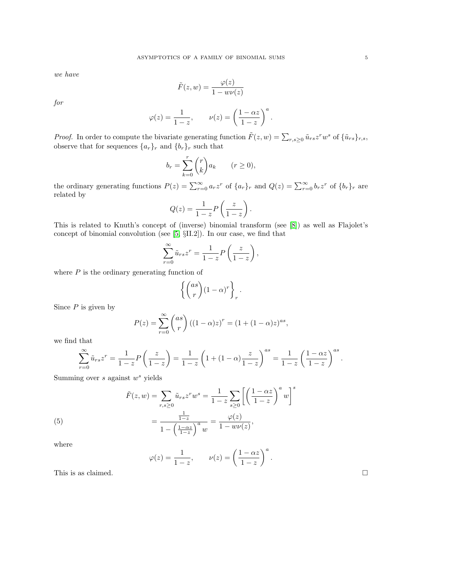we have

$$
\tilde{F}(z, w) = \frac{\varphi(z)}{1 - w\nu(z)}
$$

for

$$
\varphi(z) = \frac{1}{1-z}, \qquad \nu(z) = \left(\frac{1-\alpha z}{1-z}\right)^a.
$$

*Proof.* In order to compute the bivariate generating function  $\tilde{F}(z,w) = \sum_{r,s\geq 0} \tilde{u}_{rs} z^r w^s$  of  $\{\tilde{u}_{rs}\}_{r,s}$ , observe that for sequences  $\{a_r\}_r$  and  $\{b_r\}_r$  such that

$$
b_r = \sum_{k=0}^r \binom{r}{k} a_k \qquad (r \ge 0),
$$

the ordinary generating functions  $P(z) = \sum_{r=0}^{\infty} a_r z^r$  of  $\{a_r\}_r$  and  $Q(z) = \sum_{r=0}^{\infty} b_r z^r$  of  $\{b_r\}_r$  are related by

$$
Q(z) = \frac{1}{1-z} P\left(\frac{z}{1-z}\right).
$$

This is related to Knuth's concept of (inverse) binomial transform (see [\[8\]](#page-21-11)) as well as Flajolet's concept of binomial convolution (see [\[5,](#page-21-4) §II.2]). In our case, we find that

$$
\sum_{r=0}^{\infty} \tilde{u}_{rs} z^r = \frac{1}{1-z} P\left(\frac{z}{1-z}\right),\,
$$

where  $P$  is the ordinary generating function of

$$
\left\{ \binom{as}{r} (1-\alpha)^r \right\}_r.
$$

Since  $P$  is given by

$$
P(z) = \sum_{r=0}^{\infty} {as \choose r} ((1 - \alpha)z)^r = (1 + (1 - \alpha)z)^{as},
$$

we find that

$$
\sum_{r=0}^{\infty} \tilde{u}_{rs} z^r = \frac{1}{1-z} P\left(\frac{z}{1-z}\right) = \frac{1}{1-z} \left(1 + (1-\alpha)\frac{z}{1-z}\right)^{as} = \frac{1}{1-z} \left(\frac{1-\alpha z}{1-z}\right)^{as}.
$$

Summing over  $s$  against  $w^s$  yields

<span id="page-4-0"></span>(5) 
$$
\tilde{F}(z, w) = \sum_{r,s \ge 0} \tilde{u}_{rs} z^r w^s = \frac{1}{1 - z} \sum_{s \ge 0} \left[ \left( \frac{1 - \alpha z}{1 - z} \right)^a w \right]^s = \frac{\frac{1}{1 - z}}{1 - \left( \frac{1 - \alpha z}{1 - z} \right)^a w} = \frac{\varphi(z)}{1 - w \nu(z)},
$$

where

$$
\varphi(z) = \frac{1}{1-z}, \qquad \nu(z) = \left(\frac{1-\alpha z}{1-z}\right)^a.
$$

This is as claimed.  $\square$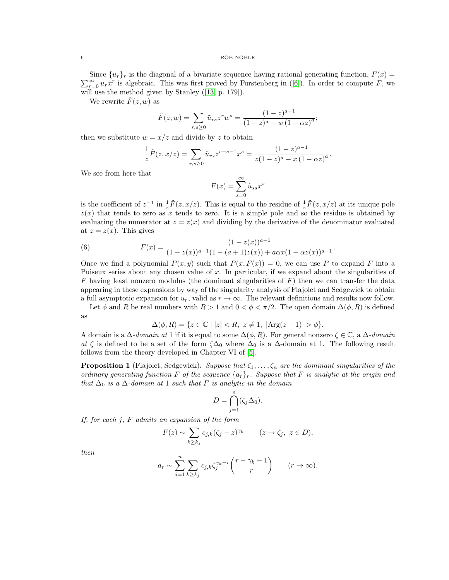$\sum_{r=0}^{\infty} u_r x^r$  $\sum_{r=0}^{\infty} u_r x^r$  $\sum_{r=0}^{\infty} u_r x^r$  is algebraic. This was first proved by Furstenberg in ([\[6\]](#page-21-12)). In order to compute F, we Since  $\{u_r\}_r$  is the diagonal of a bivariate sequence having rational generating function,  $F(x)$ will use the method given by Stanley([\[13,](#page-21-1) p. 179]).

We rewrite  $\tilde{F}(z, w)$  as

$$
\tilde{F}(z,w) = \sum_{r,s \ge 0} \tilde{u}_{rs} z^r w^s = \frac{(1-z)^{a-1}}{(1-z)^a - w (1-\alpha z)^a};
$$

then we substitute  $w = x/z$  and divide by z to obtain

$$
\frac{1}{z}\tilde{F}(z,x/z) = \sum_{r,s\geq 0} \tilde{u}_{rs} z^{r-s-1} x^s = \frac{(1-z)^{a-1}}{z(1-z)^a - x(1-\alpha z)^a}.
$$

We see from here that

$$
F(x) = \sum_{s=0}^{\infty} \tilde{u}_{ss} x^s
$$

is the coefficient of  $z^{-1}$  in  $\frac{1}{z}\tilde{F}(z, x/z)$ . This is equal to the residue of  $\frac{1}{z}\tilde{F}(z, x/z)$  at its unique pole  $z(x)$  that tends to zero as x tends to zero. It is a simple pole and so the residue is obtained by evaluating the numerator at  $z = z(x)$  and dividing by the derivative of the denominator evaluated at  $z = z(x)$ . This gives

<span id="page-5-1"></span>(6) 
$$
F(x) = \frac{(1 - z(x))^{a-1}}{(1 - z(x))^{a-1}(1 - (a+1)z(x)) + a\alpha x (1 - \alpha z(x))^{a-1}}.
$$

Once we find a polynomial  $P(x, y)$  such that  $P(x, F(x)) = 0$ , we can use P to expand F into a Puiseux series about any chosen value of x. In particular, if we expand about the singularities of  $F$  having least nonzero modulus (the dominant singularities of  $F$ ) then we can transfer the data appearing in these expansions by way of the singularity analysis of Flajolet and Sedgewick to obtain a full asymptotic expansion for  $u_r$ , valid as  $r \to \infty$ . The relevant definitions and results now follow.

Let  $\phi$  and R be real numbers with  $R > 1$  and  $0 < \phi < \pi/2$ . The open domain  $\Delta(\phi, R)$  is defined as

$$
\Delta(\phi, R) = \{ z \in \mathbb{C} \mid |z| < R, \ z \neq 1, \ |\text{Arg}(z - 1)| > \phi \}.
$$

A domain is a  $\Delta$ -domain at 1 if it is equal to some  $\Delta(\phi, R)$ . For general nonzero  $\zeta \in \mathbb{C}$ , a  $\Delta$ -domain at  $\zeta$  is defined to be a set of the form  $\zeta \Delta_0$  where  $\Delta_0$  is a  $\Delta$ -domain at 1. The following result follows from the theory developed in Chapter VI of [\[5\]](#page-21-4).

<span id="page-5-0"></span>**Proposition 1** (Flajolet, Sedgewick). Suppose that  $\zeta_1, \ldots, \zeta_n$  are the dominant singularities of the ordinary generating function F of the sequence  $\{a_r\}_r$ . Suppose that F is analytic at the origin and that  $\Delta_0$  is a  $\Delta$ -domain at 1 such that F is analytic in the domain

$$
D = \bigcap_{j=1}^{n} (\zeta_j \Delta_0).
$$

If, for each  $j$ ,  $F$  admits an expansion of the form

$$
F(z) \sim \sum_{k \ge k_j} c_{j,k} (\zeta_j - z)^{\gamma_k} \qquad (z \to \zeta_j, \ z \in D),
$$

then

$$
a_r \sim \sum_{j=1}^n \sum_{k \ge k_j} c_{j,k} \zeta_j^{\gamma_k - r} {r - \gamma_k - 1 \choose r} \qquad (r \to \infty).
$$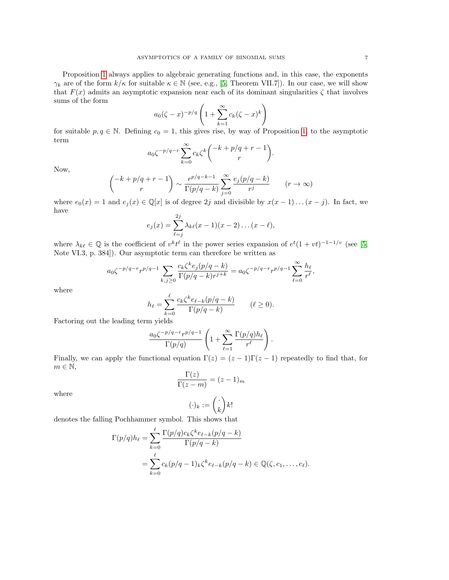Proposition [1](#page-5-0) always applies to algebraic generating functions and, in this case, the exponents  $\gamma_k$  are of the form  $k/\kappa$  for suitable  $\kappa \in \mathbb{N}$  (see, e.g., [\[5,](#page-21-4) Theorem VII.7]). In our case, we will show that  $F(x)$  admits an asymptotic expansion near each of its dominant singularities  $\zeta$  that involves sums of the form

$$
a_0(\zeta - x)^{-p/q} \left( 1 + \sum_{k=1}^{\infty} c_k (\zeta - x)^k \right)
$$

for suitable  $p, q \in \mathbb{N}$ . Defining  $c_0 = 1$ , this gives rise, by way of Proposition [1,](#page-5-0) to the asymptotic term

$$
a_0 \zeta^{-p/q-r} \sum_{k=0}^{\infty} c_k \zeta^k \binom{-k+p/q+r-1}{r}.
$$

Now,

$$
\binom{-k+p/q+r-1}{r} \sim \frac{r^{p/q-k-1}}{\Gamma(p/q-k)} \sum_{j=0}^{\infty} \frac{e_j(p/q-k)}{r^j} \qquad (r \to \infty)
$$

where  $e_0(x) = 1$  and  $e_j(x) \in \mathbb{Q}[x]$  is of degree 2j and divisible by  $x(x-1)...(x-j)$ . In fact, we have  $2i$ 

$$
e_j(x) = \sum_{\ell=j}^{2j} \lambda_{k\ell}(x-1)(x-2)\dots(x-\ell),
$$

where  $\lambda_{k\ell} \in \mathbb{Q}$  is the coefficient of  $v^k t^{\ell}$  in the power series expansion of  $e^t(1+vt)^{-1-1/v}$  (see [\[5,](#page-21-4) Note VI.3, p. 384]). Our asymptotic term can therefore be written as

$$
a_0 \zeta^{-p/q-r} r^{p/q-1} \sum_{k,j \ge 0} \frac{c_k \zeta^k e_j(p/q-k)}{\Gamma(p/q-k) r^{j+k}} = a_0 \zeta^{-p/q-r} r^{p/q-1} \sum_{\ell=0}^{\infty} \frac{h_{\ell}}{r^{\ell}},
$$

where

$$
h_{\ell} = \sum_{k=0}^{\ell} \frac{c_k \zeta^k e_{\ell-k}(p/q - k)}{\Gamma(p/q - k)} \qquad (\ell \ge 0).
$$

Factoring out the leading term yields

$$
\frac{a_0 \zeta^{-p/q-r} r^{p/q-1}}{\Gamma(p/q)}\left(1+\sum_{\ell=1}^\infty \frac{\Gamma(p/q) h_\ell}{r^\ell}\right).
$$

Finally, we can apply the functional equation  $\Gamma(z) = (z-1)\Gamma(z-1)$  repeatedly to find that, for  $m \in \mathbb{N}$ ,

$$
\frac{\Gamma(z)}{\Gamma(z-m)} = (z-1)_m
$$

where

$$
(\cdot)_k := \binom{\cdot}{k} k!
$$

denotes the falling Pochhammer symbol. This shows that

$$
\Gamma(p/q)h_{\ell} = \sum_{k=0}^{\ell} \frac{\Gamma(p/q)c_k\zeta^k e_{\ell-k}(p/q-k)}{\Gamma(p/q-k)}
$$
  
= 
$$
\sum_{k=0}^{\ell} c_k(p/q-1)_k \zeta^k e_{\ell-k}(p/q-k) \in \mathbb{Q}(\zeta, c_1, \dots, c_{\ell}).
$$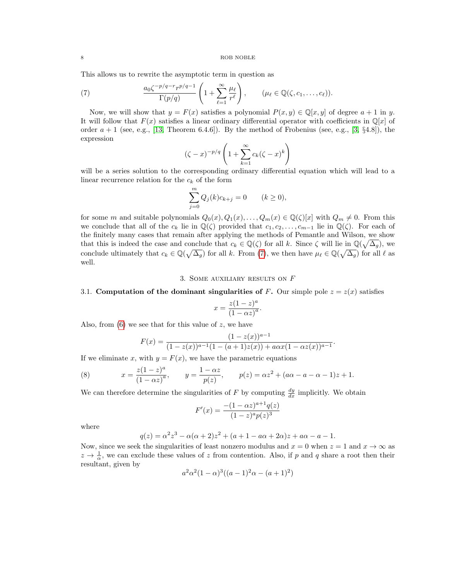This allows us to rewrite the asymptotic term in question as

<span id="page-7-1"></span>(7) 
$$
\frac{a_0 \zeta^{-p/q-r} r^{p/q-1}}{\Gamma(p/q)} \left(1 + \sum_{\ell=1}^{\infty} \frac{\mu_{\ell}}{r^{\ell}}\right), \qquad (\mu_{\ell} \in \mathbb{Q}(\zeta, c_1, \ldots, c_{\ell})).
$$

Now, we will show that  $y = F(x)$  satisfies a polynomial  $P(x, y) \in \mathbb{Q}[x, y]$  of degree  $a + 1$  in y. It will follow that  $F(x)$  satisfies a linear ordinary differential operator with coefficients in  $\mathbb{Q}[x]$  of order  $a + 1$  (see, e.g., [\[13,](#page-21-1) Theorem 6.4.6]). By the method of Frobenius (see, e.g., [\[3,](#page-21-13) §4.8]), the expression

$$
(\zeta - x)^{-p/q} \left( 1 + \sum_{k=1}^{\infty} c_k (\zeta - x)^k \right)
$$

will be a series solution to the corresponding ordinary differential equation which will lead to a linear recurrence relation for the  $c_k$  of the form

$$
\sum_{j=0}^{m} Q_j(k)c_{k+j} = 0 \t (k \ge 0),
$$

for some m and suitable polynomials  $Q_0(x), Q_1(x), \ldots, Q_m(x) \in \mathbb{Q}(\zeta)[x]$  with  $Q_m \neq 0$ . From this we conclude that all of the  $c_k$  lie in  $\mathbb{Q}(\zeta)$  provided that  $c_1, c_2, \ldots, c_{m-1}$  lie in  $\mathbb{Q}(\zeta)$ . For each of the finitely many cases that remain after applying the methods of Pemantle and Wilson, we show that this is indeed the case and conclude that  $c_k \in \mathbb{Q}(\zeta)$  for all k. Since  $\zeta$  will lie in  $\mathbb{Q}(\sqrt{\Delta_g})$ , we conclude ultimately that  $c_k \in \mathbb{Q}(\sqrt{\Delta_g})$  for all k. From [\(7\)](#page-7-1), we then have  $\mu_\ell \in \mathbb{Q}(\sqrt{\Delta_g})$  for all  $\ell$  as well.

## 3. Some auxiliary results on F

# <span id="page-7-0"></span>3.1. Computation of the dominant singularities of F. Our simple pole  $z = z(x)$  satisfies

$$
x = \frac{z(1-z)^a}{(1-\alpha z)^a}.
$$

Also, from  $(6)$  we see that for this value of z, we have

<span id="page-7-2"></span>
$$
F(x) = \frac{(1 - z(x))^{a-1}}{(1 - z(x))^{a-1}(1 - (a+1)z(x)) + a\alpha x (1 - \alpha z(x))^{a-1}}.
$$

If we eliminate x, with  $y = F(x)$ , we have the parametric equations

(8) 
$$
x = \frac{z(1-z)^a}{(1-\alpha z)^a}, \qquad y = \frac{1-\alpha z}{p(z)}, \qquad p(z) = \alpha z^2 + (a\alpha - a - \alpha - 1)z + 1.
$$

We can therefore determine the singularities of F by computing  $\frac{dy}{dx}$  implicitly. We obtain

$$
F'(x) = \frac{-(1 - \alpha z)^{a+1} q(z)}{(1 - z)^a p(z)^3}
$$

where

$$
q(z) = \alpha^{2} z^{3} - \alpha(\alpha + 2) z^{2} + (a + 1 - a\alpha + 2\alpha)z + a\alpha - a - 1.
$$

Now, since we seek the singularities of least nonzero modulus and  $x = 0$  when  $z = 1$  and  $x \to \infty$  as  $z \to \frac{1}{\alpha}$ , we can exclude these values of z from contention. Also, if p and q share a root then their resultant, given by

$$
a^2\alpha^2(1-\alpha)^3((a-1)^2\alpha-(a+1)^2)
$$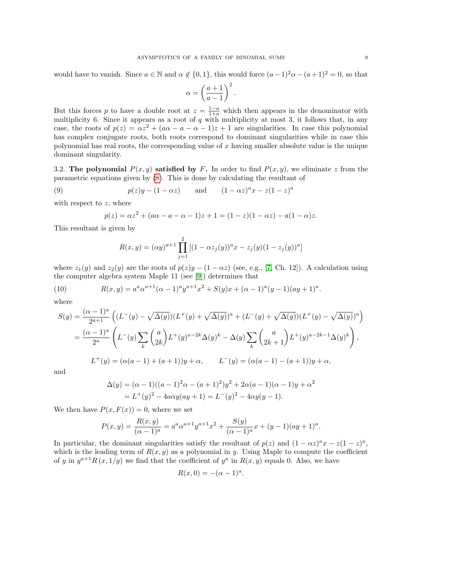would have to vanish. Since  $a \in \mathbb{N}$  and  $\alpha \notin \{0, 1\}$ , this would force  $(a-1)^2 \alpha - (a+1)^2 = 0$ , so that

$$
\alpha = \left(\frac{a+1}{a-1}\right)^2.
$$

But this forces p to have a double root at  $z = \frac{1-a}{1+a}$  which then appears in the denominator with multiplicity 6. Since it appears as a root of q with multiplicity at most 3, it follows that, in any case, the roots of  $p(z) = \alpha z^2 + (\alpha \alpha - a - \alpha - 1)z + 1$  are singularities. In case this polynomial has complex conjugate roots, both roots correspond to dominant singularities while in case this polynomial has real roots, the corresponding value of  $x$  having smaller absolute value is the unique dominant singularity.

3.2. The polynomial  $P(x, y)$  satisfied by F. In order to find  $P(x, y)$ , we eliminate z from the parametric equations given by [\(8\)](#page-7-2). This is done by calculating the resultant of

(9) 
$$
p(z)y - (1 - \alpha z)
$$
 and  $(1 - \alpha z)^{a}x - z(1 - z)^{a}$ 

with respect to  $z$ , where

$$
p(z) = \alpha z^2 + (a\alpha - a - \alpha - 1)z + 1 = (1 - z)(1 - \alpha z) - a(1 - \alpha)z.
$$

This resultant is given by

$$
R(x,y) = (\alpha y)^{a+1} \prod_{j=1}^{2} [(1 - \alpha z_j(y))^a x - z_j(y)(1 - z_j(y))^a]
$$

where  $z_1(y)$  and  $z_2(y)$  are the roots of  $p(z)y - (1 - \alpha z)$  (see, e.g., [\[7,](#page-21-14) Ch. 12]). A calculation using the computer algebra system Maple 11 (see [\[9\]](#page-21-15)) determines that

(10) 
$$
R(x,y) = a^a \alpha^{a+1} (\alpha - 1)^a y^{a+1} x^2 + S(y) x + (\alpha - 1)^a (y-1) (ay+1)^a.
$$

where

$$
S(y) = \frac{(\alpha - 1)^a}{2^{a+1}} \left( (L^-(y) - \sqrt{\Delta(y)}) (L^+(y) + \sqrt{\Delta(y)})^a + (L^-(y) + \sqrt{\Delta(y)}) (L^+(y) - \sqrt{\Delta(y)})^a \right)
$$
  
= 
$$
\frac{(\alpha - 1)^a}{2^a} \left( L^-(y) \sum_k {a \choose 2k} L^+(y)^{a-2k} \Delta(y)^k - \Delta(y) \sum_k {a \choose 2k+1} L^+(y)^{a-2k-1} \Delta(y)^k \right),
$$
  

$$
L^+(y) = (\alpha(a-1) + (a+1))y + \alpha, \qquad L^-(y) = (\alpha(a-1) - (a+1))y + \alpha,
$$

and

$$
\Delta(y) = (\alpha - 1)((a - 1)^2 \alpha - (a + 1)^2)y^2 + 2\alpha(a - 1)(\alpha - 1)y + \alpha^2
$$
  
=  $L^+(y)^2 - 4a\alpha y(ay + 1) = L^-(y)^2 - 4\alpha y(y - 1).$ 

We then have  $P(x, F(x)) = 0$ , where we set

$$
P(x,y) = \frac{R(x,y)}{(\alpha-1)^a} = a^a \alpha^{a+1} y^{a+1} x^2 + \frac{S(y)}{(\alpha-1)^a} x + (y-1)(ay+1)^a.
$$

In particular, the dominant singularities satisfy the resultant of  $p(z)$  and  $(1 - \alpha z)^a x - z(1 - z)^a$ , which is the leading term of  $R(x, y)$  as a polynomial in y. Using Maple to compute the coefficient of y in  $y^{a+1}R(x,1/y)$  we find that the coefficient of  $y^a$  in  $R(x,y)$  equals 0. Also, we have

$$
R(x,0) = -(\alpha - 1)^a.
$$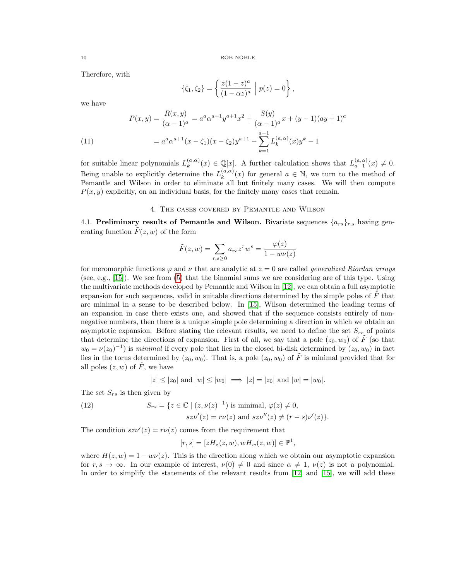Therefore, with

$$
\{\zeta_1, \zeta_2\} = \left\{ \frac{z(1-z)^a}{(1-\alpha z)^a} \middle| p(z) = 0 \right\},\,
$$

we have

<span id="page-9-2"></span>(11)  

$$
P(x,y) = \frac{R(x,y)}{(\alpha-1)^a} = a^a \alpha^{a+1} y^{a+1} x^2 + \frac{S(y)}{(\alpha-1)^a} x + (y-1)(ay+1)^a
$$

$$
= a^a \alpha^{a+1} (x - \zeta_1)(x - \zeta_2) y^{a+1} - \sum_{k=1}^{a-1} L_k^{(a,\alpha)}(x) y^k - 1
$$

for suitable linear polynomials  $L_k^{(a,\alpha)}$  $(k_n^{(a,\alpha)}(x) \in \mathbb{Q}[x]$ . A further calculation shows that  $L_{a-1}^{(a,\alpha)}(x) \neq 0$ . Being unable to explicitly determine the  $L_k^{(a,\alpha)}$  $\binom{(a,\alpha)}{k}(x)$  for general  $a \in \mathbb{N}$ , we turn to the method of Pemantle and Wilson in order to eliminate all but finitely many cases. We will then compute  $P(x, y)$  explicitly, on an individual basis, for the finitely many cases that remain.

## 4. The cases covered by Pemantle and Wilson

<span id="page-9-0"></span>4.1. Preliminary results of Pemantle and Wilson. Bivariate sequences  $\{a_{rs}\}_{r,s}$  having generating function  $F(z, w)$  of the form

$$
\tilde{F}(z, w) = \sum_{r,s \ge 0} a_{rs} z^r w^s = \frac{\varphi(z)}{1 - w\nu(z)}
$$

for meromorphic functions  $\varphi$  and  $\nu$  that are analytic at  $z = 0$  are called *generalized Riordan arrays* (see, e.g., [\[15\]](#page-21-16)). We see from [\(5\)](#page-4-0) that the binomial sums we are considering are of this type. Using the multivariate methods developed by Pemantle and Wilson in [\[12\]](#page-21-3), we can obtain a full asymptotic expansion for such sequences, valid in suitable directions determined by the simple poles of  $F$  that are minimal in a sense to be described below. In [\[15\]](#page-21-16), Wilson determined the leading terms of an expansion in case there exists one, and showed that if the sequence consists entirely of nonnegative numbers, then there is a unique simple pole determining a direction in which we obtain an asymptotic expansion. Before stating the relevant results, we need to define the set  $S_{rs}$  of points that determine the directions of expansion. First of all, we say that a pole  $(z_0, w_0)$  of F (so that  $w_0 = \nu(z_0)^{-1}$  is minimal if every pole that lies in the closed bi-disk determined by  $(z_0, w_0)$  in fact lies in the torus determined by  $(z_0, w_0)$ . That is, a pole  $(z_0, w_0)$  of  $\tilde{F}$  is minimal provided that for all poles  $(z, w)$  of  $\tilde{F}$ , we have

$$
|z| \leq |z_0|
$$
 and  $|w| \leq |w_0| \implies |z| = |z_0|$  and  $|w| = |w_0|$ .

The set  $S_{rs}$  is then given by

<span id="page-9-1"></span>(12) 
$$
S_{rs} = \{ z \in \mathbb{C} \mid (z, \nu(z)^{-1}) \text{ is minimal, } \varphi(z) \neq 0,
$$

$$
s z \nu'(z) = r \nu(z) \text{ and } s z \nu''(z) \neq (r - s) \nu'(z) \}.
$$

The condition  $s z \nu'(z) = r \nu(z)$  comes from the requirement that

$$
[r, s] = [zH_z(z, w), wH_w(z, w)] \in \mathbb{P}^1,
$$

where  $H(z, w) = 1 - w\nu(z)$ . This is the direction along which we obtain our asymptotic expansion for  $r, s \to \infty$ . In our example of interest,  $\nu(0) \neq 0$  and since  $\alpha \neq 1$ ,  $\nu(z)$  is not a polynomial. In order to simplify the statements of the relevant results from [\[12\]](#page-21-3) and [\[15\]](#page-21-16), we will add these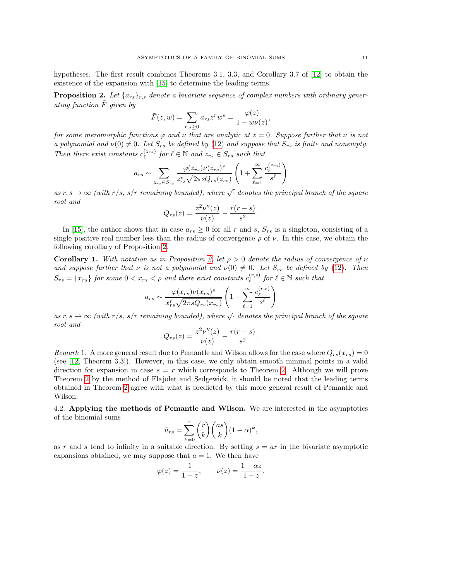hypotheses. The first result combines Theorems 3.1, 3.3, and Corollary 3.7 of [\[12\]](#page-21-3) to obtain the existence of the expansion with [\[15\]](#page-21-16) to determine the leading terms.

<span id="page-10-0"></span>**Proposition 2.** Let  $\{a_{rs}\}_{r,s}$  denote a bivariate sequence of complex numbers with ordinary generating function  $\tilde{F}$  given by

$$
\tilde{F}(z,w) = \sum_{r,s \ge 0} a_{rs} z^r w^s = \frac{\varphi(z)}{1 - w\nu(z)}
$$

,

for some meromorphic functions  $\varphi$  and  $\nu$  that are analytic at  $z = 0$ . Suppose further that  $\nu$  is not a polynomial and  $\nu(0) \neq 0$ . Let  $S_{rs}$  be defined by [\(12\)](#page-9-1) and suppose that  $S_{rs}$  is finite and nonempty. Then there exist constants  $c_{\ell}^{(z_{rs})}$  for  $\ell \in \mathbb{N}$  and  $z_{rs} \in S_{rs}$  such that

$$
a_{rs} \sim \sum_{z_{rs} \in S_{rs}} \frac{\varphi(z_{rs}) \nu(z_{rs})^s}{z_{rs}^r \sqrt{2 \pi s Q_{rs}(z_{rs})}} \left(1 + \sum_{\ell=1}^{\infty} \frac{c_{\ell}^{(z_{rs})}}{s^{\ell}}\right)
$$

as  $r, s \to \infty$  (with  $r/s, s/r$  remaining bounded), where  $\sqrt{\cdot}$  denotes the principal branch of the square root and

$$
Q_{rs}(z) = \frac{z^2 \nu''(z)}{\nu(z)} - \frac{r(r-s)}{s^2}.
$$

In [\[15\]](#page-21-16), the author shows that in case  $a_{rs} \geq 0$  for all r and s,  $S_{rs}$  is a singleton, consisting of a single positive real number less than the radius of convergence  $\rho$  of  $\nu$ . In this case, we obtain the following corollary of Proposition [2.](#page-10-0)

<span id="page-10-1"></span>**Corollary 1.** With notation as in Proposition [2,](#page-10-0) let  $\rho > 0$  denote the radius of convergence of  $\nu$ and suppose further that  $\nu$  is not a polynomial and  $\nu(0) \neq 0$ . Let  $S_{rs}$  be defined by [\(12\)](#page-9-1). Then  $S_{rs} = \{x_{rs}\}\$  for some  $0 < x_{rs} < \rho$  and there exist constants  $c_{\ell}^{(r,s)}$  $\int_{\ell}^{(r,s)}$  for  $\ell \in \mathbb{N}$  such that

$$
a_{rs} \sim \frac{\varphi(x_{rs})\nu(x_{rs})^s}{x_{rs}^r \sqrt{2\pi s Q_{rs}(x_{rs})}} \left(1 + \sum_{\ell=1}^{\infty} \frac{c_{\ell}^{(r,s)}}{s^{\ell}}\right)
$$

as  $r, s \to \infty$  (with  $r/s, s/r$  remaining bounded), where  $\sqrt{\cdot}$  denotes the principal branch of the square root and

$$
Q_{rs}(z) = \frac{z^2 \nu''(z)}{\nu(z)} - \frac{r(r-s)}{s^2}.
$$

Remark 1. A more general result due to Pemantle and Wilson allows for the case where  $Q_{rs}(x_{rs}) = 0$ (see [\[12,](#page-21-3) Theorem 3.3]). However, in this case, we only obtain smooth minimal points in a valid direction for expansion in case  $s = r$  which corresponds to Theorem [2.](#page-2-1) Although we will prove Theorem [2](#page-2-1) by the method of Flajolet and Sedgewick, it should be noted that the leading terms obtained in Theorem [2](#page-2-1) agree with what is predicted by this more general result of Pemantle and Wilson.

4.2. Applying the methods of Pemantle and Wilson. We are interested in the asymptotics of the binomial sums

$$
\tilde{u}_{rs} = \sum_{k=0}^{r} {r \choose k} {as \choose k} (1-\alpha)^k,
$$

as r and s tend to infinity in a suitable direction. By setting  $s = ar$  in the bivariate asymptotic expansions obtained, we may suppose that  $a = 1$ . We then have

$$
\varphi(z) = \frac{1}{1-z}, \qquad \nu(z) = \frac{1-\alpha z}{1-z}.
$$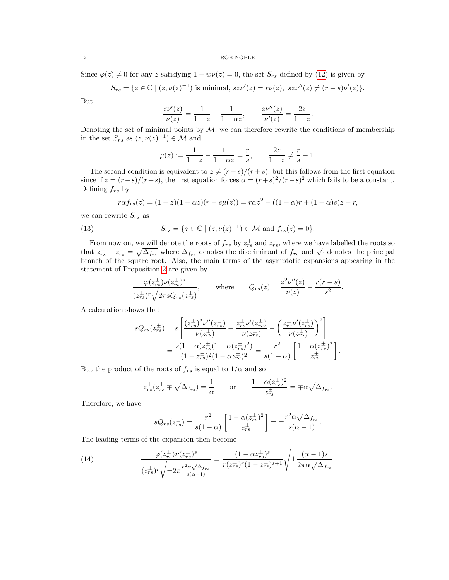Since  $\varphi(z) \neq 0$  for any z satisfying  $1 - w\nu(z) = 0$ , the set  $S_{rs}$  defined by [\(12\)](#page-9-1) is given by

$$
S_{rs} = \{ z \in \mathbb{C} \mid (z, \nu(z)^{-1}) \text{ is minimal, } sz\nu'(z) = r\nu(z), \ s z \nu''(z) \neq (r - s)\nu'(z) \}.
$$

But

$$
\frac{z\nu'(z)}{\nu(z)} = \frac{1}{1-z} - \frac{1}{1-\alpha z}, \qquad \frac{z\nu''(z)}{\nu'(z)} = \frac{2z}{1-z}.
$$

Denoting the set of minimal points by  $M$ , we can therefore rewrite the conditions of membership in the set  $S_{rs}$  as  $(z, \nu(z)^{-1}) \in \mathcal{M}$  and

$$
\mu(z) := \frac{1}{1-z} - \frac{1}{1-\alpha z} = \frac{r}{s}, \qquad \frac{2z}{1-z} \neq \frac{r}{s} - 1.
$$

The second condition is equivalent to  $z \neq (r - s)/(r + s)$ , but this follows from the first equation since if  $z = (r-s)/(r+s)$ , the first equation forces  $\alpha = (r+s)^2/(r-s)^2$  which fails to be a constant. Defining  $f_{rs}$  by

$$
r\alpha f_{rs}(z) = (1-z)(1-\alpha z)(r - s\mu(z)) = r\alpha z^2 - ((1+\alpha)r + (1-\alpha)s)z + r,
$$

we can rewrite  $S_{rs}$  as

(13) 
$$
S_{rs} = \{ z \in \mathbb{C} \mid (z, \nu(z)^{-1}) \in \mathcal{M} \text{ and } f_{rs}(z) = 0 \}.
$$

From now on, we will denote the roots of  $f_{rs}$  by  $z_{rs}^+$  and  $z_{rs}^-$ , where we have labelled the roots so From now on, we will denote the roots of  $f_{rs}$  by  $z_{rs}$  and  $z_{rs}$ , where we have fabelled the roots so that  $z_{rs}^+ - z_{rs}^- = \sqrt{\Delta_{frs}}$  where  $\Delta_{frs}$  denotes the discriminant of  $f_{rs}$  and  $\sqrt{\cdot}$  denotes the principal branch of the square root. Also, the main terms of the asymptotic expansions appearing in the statement of Proposition [2](#page-10-0) are given by

$$
\frac{\varphi(z_{rs}^{\pm})\nu(z_{rs}^{\pm})^s}{(z_{rs}^{\pm})^r\sqrt{2\pi sQ_{rs}(z_{rs}^{\pm})}}, \quad \text{where} \quad Q_{rs}(z) = \frac{z^2\nu''(z)}{\nu(z)} - \frac{r(r-s)}{s^2}.
$$

A calculation shows that

$$
sQ_{rs}(z_{rs}^{\pm}) = s \left[ \frac{(z_{rs}^{\pm})^2 \nu''(z_{rs}^{\pm})}{\nu(z_{rs}^{\pm})} + \frac{z_{rs}^{\pm} \nu'(z_{rs}^{\pm})}{\nu(z_{rs}^{\pm})} - \left( \frac{z_{rs}^{\pm} \nu'(z_{rs}^{\pm})}{\nu(z_{rs}^{\pm})} \right)^2 \right]
$$
  
= 
$$
\frac{s(1-\alpha)z_{rs}^{\pm}(1-\alpha(z_{rs}^{\pm})^2)}{(1-z_{rs}^{\pm})^2(1-\alpha z_{rs}^{\pm})^2} = \frac{r^2}{s(1-\alpha)} \left[ \frac{1-\alpha(z_{rs}^{\pm})^2}{z_{rs}^{\pm}} \right].
$$

But the product of the roots of  $f_{rs}$  is equal to  $1/\alpha$  and so

$$
z_{rs}^{\pm}(z_{rs}^{\pm} \mp \sqrt{\Delta_{f_{rs}}}) = \frac{1}{\alpha} \quad \text{or} \quad \frac{1 - \alpha (z_{rs}^{\pm})^2}{z_{rs}^{\pm}} = \mp \alpha \sqrt{\Delta_{f_{rs}}}.
$$

Therefore, we have

$$
sQ_{rs}(z_{rs}^{\pm}) = \frac{r^2}{s(1-\alpha)} \left[ \frac{1 - \alpha (z_{rs}^{\pm})^2}{z_{rs}^{\pm}} \right] = \pm \frac{r^2 \alpha \sqrt{\Delta_{f_{rs}}}}{s(\alpha - 1)}.
$$

The leading terms of the expansion then become

(14) 
$$
\frac{\varphi(z_{rs}^{\pm})\nu(z_{rs}^{\pm})^s}{(z_{rs}^{\pm})^r \sqrt{\pm 2\pi \frac{r^2 \alpha \sqrt{\Delta_{frs}}}{s(\alpha - 1)}}} = \frac{(1 - \alpha z_{rs}^{\pm})^s}{r(z_{rs}^{\pm})^r (1 - z_{rs}^{\pm})^{s+1}} \sqrt{\pm \frac{(\alpha - 1)s}{2\pi \alpha \sqrt{\Delta_{frs}}}}.
$$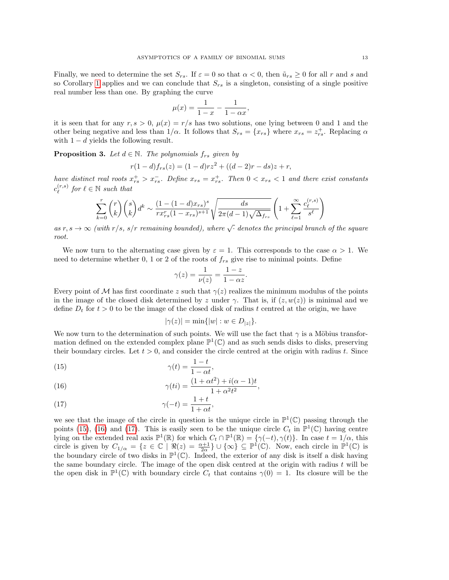Finally, we need to determine the set  $S_{rs}$ . If  $\varepsilon = 0$  so that  $\alpha < 0$ , then  $\tilde{u}_{rs} \ge 0$  for all r and s and so Corollary [1](#page-10-1) applies and we can conclude that  $S_{rs}$  is a singleton, consisting of a single positive real number less than one. By graphing the curve

$$
\mu(x) = \frac{1}{1-x} - \frac{1}{1-\alpha x},
$$

it is seen that for any  $r, s > 0$ ,  $\mu(x) = r/s$  has two solutions, one lying between 0 and 1 and the other being negative and less than  $1/\alpha$ . It follows that  $S_{rs} = \{x_{rs}\}\$  where  $x_{rs} = z_{rs}^+$ . Replacing  $\alpha$ with  $1 - d$  yields the following result.

<span id="page-12-3"></span>**Proposition 3.** Let  $d \in \mathbb{N}$ . The polynomials  $f_{rs}$  given by

$$
r(1-d)f_{rs}(z) = (1-d)rz^2 + ((d-2)r - ds)z + r,
$$

have distinct real roots  $x_{rs}^+ > x_{rs}^-$ . Define  $x_{rs} = x_{rs}^+$ . Then  $0 < x_{rs} < 1$  and there exist constants  $c_\ell^{(r,s)}$  $\int_{\ell}^{(r,s)}$  for  $\ell \in \mathbb{N}$  such that

$$
\sum_{k=0}^{r} {r \choose k} {s \choose k} d^{k} \sim \frac{(1 - (1 - d)x_{rs})^{s}}{rx_{rs}^{r} (1 - x_{rs})^{s+1}} \sqrt{\frac{ds}{2\pi (d-1)\sqrt{\Delta_{f_{rs}}}}} \left(1 + \sum_{\ell=1}^{\infty} \frac{c_{\ell}^{(r,s)}}{s^{\ell}}\right)
$$

as  $r, s \to \infty$  (with  $r/s, s/r$  remaining bounded), where  $\sqrt{\cdot}$  denotes the principal branch of the square root.

We now turn to the alternating case given by  $\varepsilon = 1$ . This corresponds to the case  $\alpha > 1$ . We need to determine whether 0, 1 or 2 of the roots of  $f_{rs}$  give rise to minimal points. Define

$$
\gamma(z) = \frac{1}{\nu(z)} = \frac{1-z}{1-\alpha z}.
$$

Every point of M has first coordinate z such that  $\gamma(z)$  realizes the minimum modulus of the points in the image of the closed disk determined by z under  $\gamma$ . That is, if  $(z, w(z))$  is minimal and we define  $D_t$  for  $t > 0$  to be the image of the closed disk of radius t centred at the origin, we have

$$
|\gamma(z)| = \min\{|w| : w \in D_{|z|}\}.
$$

We now turn to the determination of such points. We will use the fact that  $\gamma$  is a Möbius transformation defined on the extended complex plane  $\mathbb{P}^1(\mathbb{C})$  and as such sends disks to disks, preserving their boundary circles. Let  $t > 0$ , and consider the circle centred at the origin with radius t. Since

<span id="page-12-0"></span>(15) 
$$
\gamma(t) = \frac{1-t}{1-\alpha t},
$$

<span id="page-12-1"></span>(16) 
$$
\gamma(ti) = \frac{(1 + \alpha t^2) + i(\alpha - 1)t}{1 + \alpha^2 t^2},
$$

<span id="page-12-2"></span>(17) 
$$
\gamma(-t) = \frac{1+t}{1+\alpha t},
$$

we see that the image of the circle in question is the unique circle in  $\mathbb{P}^1(\mathbb{C})$  passing through the points [\(15\)](#page-12-0), [\(16\)](#page-12-1) and [\(17\)](#page-12-2). This is easily seen to be the unique circle  $C_t$  in  $\mathbb{P}^1(\mathbb{C})$  having centre lying on the extended real axis  $\mathbb{P}^1(\mathbb{R})$  for which  $C_t \cap \mathbb{P}^1(\mathbb{R}) = \{ \gamma(-t), \gamma(t) \}.$  In case  $t = 1/\alpha$ , this circle is given by  $C_{1/\alpha} = \{z \in \mathbb{C} \mid \Re(z) = \frac{\alpha+1}{2\alpha}\} \cup \{\infty\} \subseteq \mathbb{P}^1(\mathbb{C})$ . Now, each circle in  $\mathbb{P}^1(\mathbb{C})$  is the boundary circle of two disks in  $\mathbb{P}^1(\mathbb{C})$ . Indeed, the exterior of any disk is itself a disk having the same boundary circle. The image of the open disk centred at the origin with radius  $t$  will be the open disk in  $\mathbb{P}^1(\mathbb{C})$  with boundary circle  $C_t$  that contains  $\gamma(0) = 1$ . Its closure will be the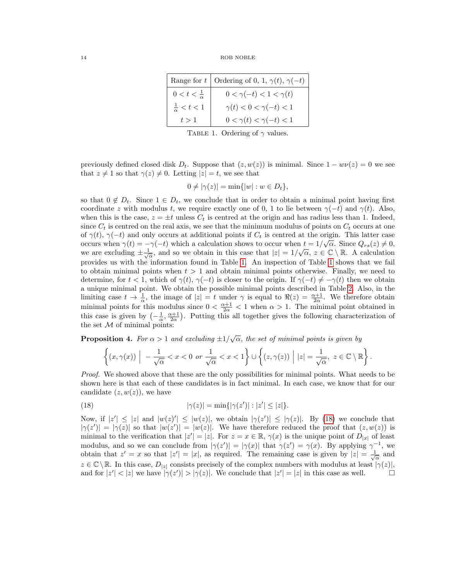|                            | Range for t   Ordering of 0, 1, $\gamma(t)$ , $\gamma(-t)$ |
|----------------------------|------------------------------------------------------------|
| $0 < t < \frac{1}{\alpha}$ | $0 < \gamma(-t) < 1 < \gamma(t)$                           |
| $\frac{1}{\alpha} < t < 1$ | $\gamma(t) < 0 < \gamma(-t) < 1$                           |
| t > 1                      | $0 < \gamma(t) < \gamma(-t) < 1$                           |

<span id="page-13-0"></span>TABLE 1. Ordering of  $\gamma$  values.

previously defined closed disk  $D_t$ . Suppose that  $(z, w(z))$  is minimal. Since  $1 - w\nu(z) = 0$  we see that  $z \neq 1$  so that  $\gamma(z) \neq 0$ . Letting  $|z| = t$ , we see that

$$
0 \neq |\gamma(z)| = \min\{|w| : w \in D_t\},\
$$

so that  $0 \notin D_t$ . Since  $1 \in D_t$ , we conclude that in order to obtain a minimal point having first coordinate z with modulus t, we require exactly one of 0, 1 to lie between  $\gamma(-t)$  and  $\gamma(t)$ . Also, when this is the case,  $z = \pm t$  unless  $C_t$  is centred at the origin and has radius less than 1. Indeed, since  $C_t$  is centred on the real axis, we see that the minimum modulus of points on  $C_t$  occurs at one of  $\gamma(t)$ ,  $\gamma(-t)$  and only occurs at additional points if  $C_t$  is centred at the origin. This latter case occurs when  $\gamma(t) = -\gamma(-t)$  which a calculation shows to occur when  $t = 1/\sqrt{\alpha}$ . Since  $Q_{rs}(z) \neq 0$ , we are excluding  $\pm \frac{1}{\sqrt{\alpha}}$ , and so we obtain in this case that  $|z| = 1/\sqrt{\alpha}$ ,  $z \in \mathbb{C} \setminus \mathbb{R}$ . A calculation provides us with the information found in Table [1.](#page-13-0) An inspection of Table [1](#page-13-0) shows that we fail to obtain minimal points when  $t > 1$  and obtain minimal points otherwise. Finally, we need to determine, for  $t < 1$ , which of  $\gamma(t)$ ,  $\gamma(-t)$  is closer to the origin. If  $\gamma(-t) \neq -\gamma(t)$  then we obtain a unique minimal point. We obtain the possible minimal points described in Table [2.](#page-14-0) Also, in the limiting case  $t \to \frac{1}{\alpha}$ , the image of  $|z| = t$  under  $\gamma$  is equal to  $\Re(z) = \frac{\alpha+1}{2\alpha}$ . We therefore obtain minimal points for this modulus since  $0 < \frac{\alpha+1}{2\alpha} < 1$  when  $\alpha > 1$ . The minimal point obtained in this case is given by  $\left(-\frac{1}{\alpha}, \frac{\alpha+1}{2\alpha}\right)$ . Putting this all together gives the following characterization of the set  $M$  of minimal points:

**Proposition 4.** For  $\alpha > 1$  and excluding  $\pm 1/\sqrt{\alpha}$ , the set of minimal points is given by

<span id="page-13-1"></span>
$$
\left\{(x,\gamma(x))\Big| -\frac{1}{\sqrt{\alpha}} < x < 0 \text{ or } \frac{1}{\sqrt{\alpha}} < x < 1\right\} \cup \left\{(z,\gamma(z))\Big| |z| = \frac{1}{\sqrt{\alpha}}, \ z \in \mathbb{C} \setminus \mathbb{R}\right\}.
$$

Proof. We showed above that these are the only possibilities for minimal points. What needs to be shown here is that each of these candidates is in fact minimal. In each case, we know that for our candidate  $(z, w(z))$ , we have

(18) 
$$
|\gamma(z)| = \min\{|\gamma(z')| : |z'| \le |z|\}.
$$

Now, if  $|z'| \leq |z|$  and  $|w(z)| \leq |w(z)|$ , we obtain  $|\gamma(z')| \leq |\gamma(z)|$ . By [\(18\)](#page-13-1) we conclude that  $|\gamma(z')| = |\gamma(z)|$  so that  $|w(z')| = |w(z)|$ . We have therefore reduced the proof that  $(z, w(z))$  is minimal to the verification that  $|z'| = |z|$ . For  $z = x \in \mathbb{R}$ ,  $\gamma(x)$  is the unique point of  $D_{|x|}$  of least modulus, and so we can conclude from  $|\gamma(z')| = |\gamma(x)|$  that  $\gamma(z') = \gamma(x)$ . By applying  $\gamma^{-1}$ , we obtain that  $z' = x$  so that  $|z'| = |x|$ , as required. The remaining case is given by  $|z| = \frac{1}{\sqrt{\alpha}}$  and  $z \in \mathbb{C} \setminus \mathbb{R}$ . In this case,  $D_{|z|}$  consists precisely of the complex numbers with modulus at least  $|\gamma(z)|$ , and for  $|z'| < |z|$  we have  $|\gamma(z')| > |\gamma(z)|$ . We conclude that  $|z'| = |z|$  in this case as well.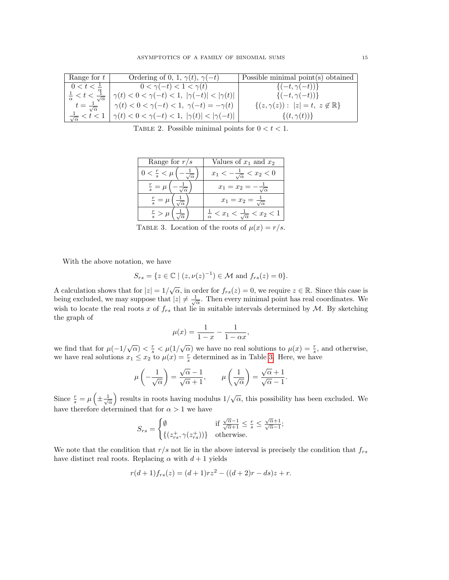| Range for $t \,   \,$             | Ordering of 0, 1, $\gamma(t)$ , $\gamma(-t)$                           | Possible minimal point(s) obtained                |
|-----------------------------------|------------------------------------------------------------------------|---------------------------------------------------|
| $0 < t < \frac{1}{a}$             | $0 < \gamma(-t) < 1 < \gamma(t)$                                       | $\{(-t,\gamma(-t))\}$                             |
|                                   | $\gamma(t) < 0 < \gamma(-t) < 1, \  \gamma(-t)  <  \gamma(t)  \ \Big $ | $\{(-t,\gamma(-t))\}$                             |
| $t=\frac{1}{\sqrt{\alpha}}$       | $\gamma(t) < 0 < \gamma(-t) < 1, \ \gamma(-t) = -\gamma(t)$            | $\{(z,\gamma(z)) :  z =t, z \notin \mathbb{R}\}\$ |
| $\frac{1}{\sqrt{\alpha}} < t < 1$ | $ \gamma(t) < 0 < \gamma(-t) < 1,  \gamma(t)  <  \gamma(-t) $          | $\{(t,\gamma(t))\}$                               |

<span id="page-14-0"></span>TABLE 2. Possible minimal points for  $0 < t < 1$ .

| Range for $r/s$         | Values of $x_1$ and $x_2$                                    |
|-------------------------|--------------------------------------------------------------|
| $0 < \frac{r}{s} < \mu$ | $x_1 < -\frac{1}{\sqrt{\alpha}} < x_2 < 0$                   |
| $\frac{r}{s} = \mu$     | $x_1 = x_2 = -$                                              |
| $\frac{r}{s} = \mu$     | $x_1=x_2=\frac{1}{\sqrt{\alpha}}$                            |
| $\frac{r}{s} > \mu$     | $\frac{1}{\alpha} < x_1 < \frac{1}{\sqrt{\alpha}} < x_2 < 1$ |

<span id="page-14-1"></span>TABLE 3. Location of the roots of  $\mu(x) = r/s$ .

With the above notation, we have

$$
S_{rs} = \{ z \in \mathbb{C} \mid (z, \nu(z)^{-1}) \in \mathcal{M} \text{ and } f_{rs}(z) = 0 \}.
$$

A calculation shows that for  $|z|=1/\sqrt{\alpha}$ , in order for  $f_{rs}(z)=0$ , we require  $z \in \mathbb{R}$ . Since this case is being excluded, we may suppose that  $|z| \neq \frac{1}{\sqrt{\alpha}}$ . Then every minimal point has real coordinates. We wish to locate the real roots x of  $f_{rs}$  that lie in suitable intervals determined by M. By sketching the graph of

$$
\mu(x) = \frac{1}{1-x} - \frac{1}{1-\alpha x},
$$

we find that for  $\mu(-1/\sqrt{\alpha}) < \frac{r}{s} < \mu(1/\sqrt{\alpha})$  we have no real solutions to  $\mu(x) = \frac{r}{s}$ , and otherwise, we have real solutions  $x_1 \leq x_2$  to  $\mu(x) = \frac{r}{s}$  determined as in Table [3.](#page-14-1) Here, we have

$$
\mu\left(-\frac{1}{\sqrt{\alpha}}\right) = \frac{\sqrt{\alpha}-1}{\sqrt{\alpha}+1}, \qquad \mu\left(\frac{1}{\sqrt{\alpha}}\right) = \frac{\sqrt{\alpha}+1}{\sqrt{\alpha}-1}.
$$

Since  $\frac{r}{s} = \mu \left( \pm \frac{1}{\sqrt{\alpha}} \right)$  results in roots having modulus  $1/\sqrt{\alpha}$ , this possibility has been excluded. We have therefore determined that for  $\alpha > 1$  we have

$$
S_{rs} = \begin{cases} \emptyset & \text{if } \frac{\sqrt{\alpha}-1}{\sqrt{\alpha}+1} \le \frac{r}{s} \le \frac{\sqrt{\alpha}+1}{\sqrt{\alpha}-1}; \\ \{ (z_{rs}^+, \gamma(z_{rs}^+)) \} & \text{otherwise.} \end{cases}
$$

We note that the condition that  $r/s$  not lie in the above interval is precisely the condition that  $f_{rs}$ have distinct real roots. Replacing  $\alpha$  with  $d+1$  yields

$$
r(d+1)f_{rs}(z) = (d+1)rz^2 - ((d+2)r - ds)z + r.
$$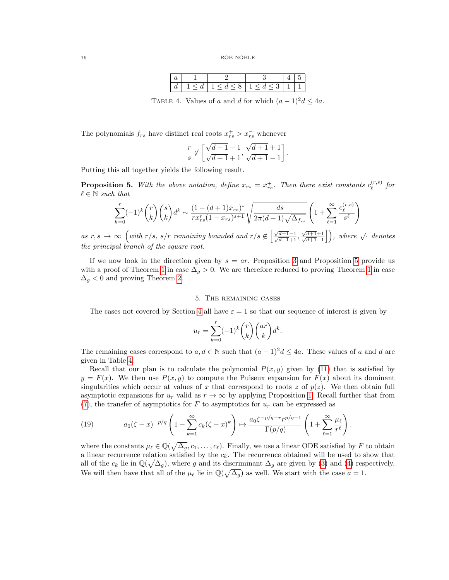<span id="page-15-2"></span>

| ື |  |  |  |
|---|--|--|--|

TABLE 4. Values of a and d for which  $(a-1)^2d \leq 4a$ .

The polynomials  $f_{rs}$  have distinct real roots  $x_{rs}^+ > x_{rs}^-$  whenever

$$
\frac{r}{s} \notin \left[ \frac{\sqrt{d+1}-1}{\sqrt{d+1}+1}, \frac{\sqrt{d+1}+1}{\sqrt{d+1}-1} \right].
$$

Putting this all together yields the following result.

<span id="page-15-1"></span>**Proposition 5.** With the above notation, define  $x_{rs} = x_{rs}^+$ . Then there exist constants  $c_{\ell}^{(r,s)}$  $\int_\ell^{(r,s)}$  for  $\ell \in \mathbb{N}$  such that

$$
\sum_{k=0}^{r} (-1)^k {r \choose k} {s \choose k} d^k \sim \frac{(1 - (d+1)x_{rs})^s}{rx_{rs}^r (1 - x_{rs})^{s+1}} \sqrt{\frac{ds}{2\pi (d+1)\sqrt{\Delta_{f_{rs}}}}} \left(1 + \sum_{\ell=1}^{\infty} \frac{c_{\ell}^{(r,s)}}{s^{\ell}}\right)
$$

as  $r, s \rightarrow \infty$  (with  $r/s, s/r$  remaining bounded and  $r/s \notin \left[\frac{\sqrt{d+1}-1}{\sqrt{d+1}+1}, \frac{\sqrt{d+1}-1}{\sqrt{d+1}}\right]$  $\frac{\sqrt{d+1}+1}{\sqrt{d+1}}$  $\sqrt{\frac{d+1}{d+1}-1}$ , where  $\sqrt{\cdot}$  denotes the principal branch of the square root.

If we now look in the direction given by  $s = ar$ , Proposition [3](#page-12-3) and Proposition [5](#page-15-1) provide us with a proof of Theorem [1](#page-1-0) in case  $\Delta_g > 0$ . We are therefore reduced to proving Theorem 1 in case  $\Delta_q$  < 0 and proving Theorem [2.](#page-2-1)

## 5. The remaining cases

<span id="page-15-0"></span>The cases not covered by Section [4](#page-9-0) all have  $\varepsilon = 1$  so that our sequence of interest is given by

$$
u_r = \sum_{k=0}^r (-1)^k \binom{r}{k} \binom{ar}{k} d^k.
$$

The remaining cases correspond to  $a, d \in \mathbb{N}$  such that  $(a-1)^2d \leq 4a$ . These values of a and d are given in Table [4.](#page-15-2)

Recall that our plan is to calculate the polynomial  $P(x, y)$  given by [\(11\)](#page-9-2) that is satisfied by  $y = F(x)$ . We then use  $P(x, y)$  to compute the Puiseux expansion for  $F(x)$  about its dominant singularities which occur at values of x that correspond to roots z of  $p(z)$ . We then obtain full asymptotic expansions for  $u_r$  valid as  $r \to \infty$  by applying Proposition [1.](#page-5-0) Recall further that from [\(7\)](#page-7-1), the transfer of asymptotics for F to asymptotics for  $u_r$  can be expressed as

<span id="page-15-3"></span>(19) 
$$
a_0(\zeta - x)^{-p/q} \left(1 + \sum_{k=1}^{\infty} c_k(\zeta - x)^k\right) \mapsto \frac{a_0 \zeta^{-p/q - r} r^{p/q - 1}}{\Gamma(p/q)} \left(1 + \sum_{\ell=1}^{\infty} \frac{\mu_{\ell}}{r^{\ell}}\right).
$$

where the constants  $\mu_\ell \in \mathbb{Q}(\sqrt{\Delta_g}, c_1, \ldots, c_\ell)$ . Finally, we use a linear ODE satisfied by F to obtain a linear recurrence relation satisfied by the  $c_k$ . The recurrence obtained will be used to show that all of the  $c_k$  lie in  $\mathbb{Q}(\sqrt{\Delta_g})$ , where g and its discriminant  $\Delta_g$  are given by [\(3\)](#page-1-1) and [\(4\)](#page-1-2) respectively. We will then have that all of the  $\mu_{\ell}$  lie in  $\mathbb{Q}(\sqrt{\Delta_g})$  as well. We start with the case  $a = 1$ .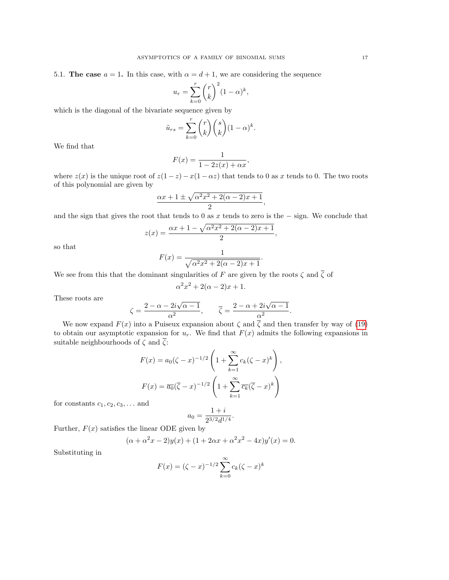5.1. The case  $a = 1$ . In this case, with  $\alpha = d + 1$ , we are considering the sequence

$$
u_r = \sum_{k=0}^r \binom{r}{k}^2 (1-\alpha)^k,
$$

which is the diagonal of the bivariate sequence given by

$$
\tilde{u}_{rs} = \sum_{k=0}^{r} {r \choose k} {s \choose k} (1-\alpha)^k.
$$

We find that

$$
F(x) = \frac{1}{1 - 2z(x) + \alpha x},
$$

where  $z(x)$  is the unique root of  $z(1-z) - x(1-\alpha z)$  that tends to 0 as x tends to 0. The two roots of this polynomial are given by

$$
\frac{\alpha x + 1 \pm \sqrt{\alpha^2 x^2 + 2(\alpha - 2)x + 1}}{2},
$$

and the sign that gives the root that tends to 0 as x tends to zero is the  $-$  sign. We conclude that

$$
z(x) = \frac{\alpha x + 1 - \sqrt{\alpha^2 x^2 + 2(\alpha - 2)x + 1}}{2},
$$

so that

$$
F(x) = \frac{1}{\sqrt{\alpha^2 x^2 + 2(\alpha - 2)x + 1}}.
$$

We see from this that the dominant singularities of F are given by the roots  $\zeta$  and  $\overline{\zeta}$  of

$$
\alpha^2 x^2 + 2(\alpha - 2)x + 1.
$$

These roots are

$$
\zeta = \frac{2 - \alpha - 2i\sqrt{\alpha - 1}}{\alpha^2}, \qquad \overline{\zeta} = \frac{2 - \alpha + 2i\sqrt{\alpha - 1}}{\alpha^2}.
$$

We now expand  $F(x)$  into a Puiseux expansion about  $\zeta$  and  $\overline{\zeta}$  and then transfer by way of [\(19\)](#page-15-3) to obtain our asymptotic expansion for  $u_r$ . We find that  $F(x)$  admits the following expansions in suitable neighbourhoods of  $\zeta$  and  $\overline{\zeta}$ :

$$
F(x) = a_0(\zeta - x)^{-1/2} \left( 1 + \sum_{k=1}^{\infty} c_k (\zeta - x)^k \right),
$$
  
\n
$$
F(x) = \overline{a_0} (\overline{\zeta} - x)^{-1/2} \left( 1 + \sum_{k=1}^{\infty} \overline{c_k} (\overline{\zeta} - x)^k \right)
$$

for constants  $c_1, c_2, c_3, \ldots$  and

$$
a_0 = \frac{1+i}{2^{3/2}d^{1/4}}
$$

.

Further,  $F(x)$  satisfies the linear ODE given by

$$
(\alpha + \alpha^2 x - 2)y(x) + (1 + 2\alpha x + \alpha^2 x^2 - 4x)y'(x) = 0.
$$

Substituting in

$$
F(x) = (\zeta - x)^{-1/2} \sum_{k=0}^{\infty} c_k (\zeta - x)^k
$$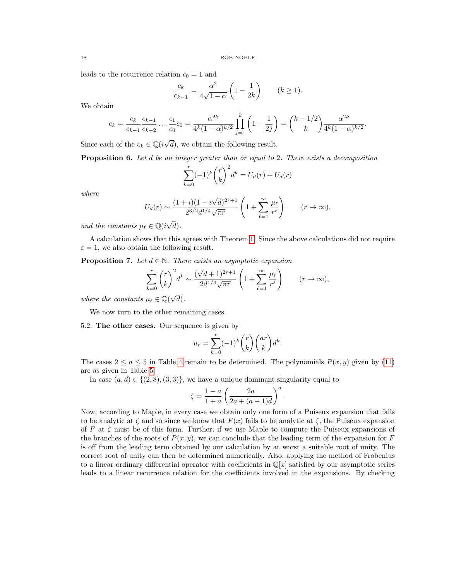leads to the recurrence relation  $c_0 = 1$  and

$$
\frac{c_k}{c_{k-1}} = \frac{\alpha^2}{4\sqrt{1-\alpha}} \left(1 - \frac{1}{2k}\right) \qquad (k \ge 1).
$$

We obtain

$$
c_k = \frac{c_k}{c_{k-1}} \frac{c_{k-1}}{c_{k-2}} \dots \frac{c_1}{c_0} c_0 = \frac{\alpha^{2k}}{4^k (1-\alpha)^{k/2}} \prod_{j=1}^k \left(1 - \frac{1}{2^j}\right) = {k-1/2 \choose k} \frac{\alpha^{2k}}{4^k (1-\alpha)^{k/2}}.
$$

Since each of the  $c_k \in \mathbb{Q}(i\sqrt{})$ d), we obtain the following result.

<span id="page-17-1"></span>Proposition 6. Let d be an integer greater than or equal to 2. There exists a decomposition

$$
\sum_{k=0}^{r} (-1)^{k} {r \choose k}^{2} d^{k} = U_{d}(r) + \overline{U_{d}(r)}
$$

where

$$
U_d(r) \sim \frac{(1+i)(1-i\sqrt{d})^{2r+1}}{2^{3/2}d^{1/4}\sqrt{\pi r}} \left(1+\sum_{\ell=1}^{\infty} \frac{\mu_{\ell}}{r^{\ell}}\right) \qquad (r \to \infty),
$$

and the constants  $\mu_{\ell} \in \mathbb{Q}(i\sqrt{\ell})$  $d).$ 

A calculation shows that this agrees with Theorem [1.](#page-1-0) Since the above calculations did not require  $\varepsilon = 1$ , we also obtain the following result.

<span id="page-17-0"></span>**Proposition 7.** Let  $d \in \mathbb{N}$ . There exists an asymptotic expansion

$$
\sum_{k=0}^r \binom{r}{k}^2 d^k \sim \frac{(\sqrt{d}+1)^{2r+1}}{2d^{1/4}\sqrt{\pi r}} \left(1+\sum_{\ell=1}^\infty \frac{\mu_\ell}{r^\ell}\right) \qquad (r \to \infty),
$$

where the constants  $\mu_{\ell} \in \mathbb{Q}(\sqrt{\ell})$  $d).$ 

We now turn to the other remaining cases.

5.2. The other cases. Our sequence is given by

$$
u_r=\sum_{k=0}^r(-1)^k\binom{r}{k}\binom{ar}{k}d^k.
$$

The cases  $2 \le a \le 5$  in Table [4](#page-15-2) remain to be determined. The polynomials  $P(x, y)$  given by [\(11\)](#page-9-2) are as given in Table [5.](#page-18-0)

In case  $(a, d) \in \{(2, 8), (3, 3)\}\,$ , we have a unique dominant singularity equal to

$$
\zeta = \frac{1-a}{1+a} \left( \frac{2a}{2a + (a-1)d} \right)^a.
$$

Now, according to Maple, in every case we obtain only one form of a Puiseux expansion that fails to be analytic at  $\zeta$  and so since we know that  $F(x)$  fails to be analytic at  $\zeta$ , the Puiseux expansion of F at  $\zeta$  must be of this form. Further, if we use Maple to compute the Puiseux expansions of the branches of the roots of  $P(x, y)$ , we can conclude that the leading term of the expansion for F is off from the leading term obtained by our calculation by at worst a suitable root of unity. The correct root of unity can then be determined numerically. Also, applying the method of Frobenius to a linear ordinary differential operator with coefficients in  $\mathbb{Q}[x]$  satisfied by our asymptotic series leads to a linear recurrence relation for the coefficients involved in the expansions. By checking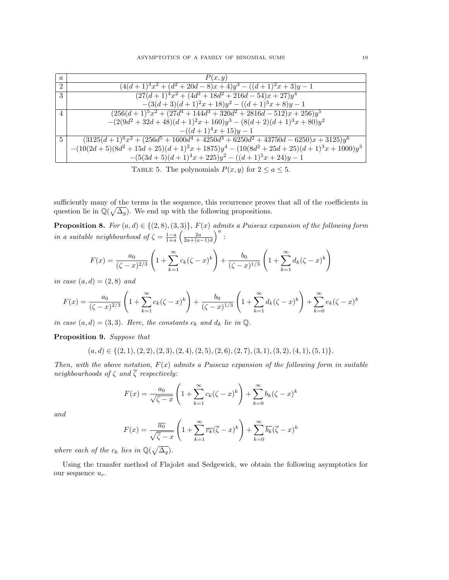| $\overline{a}$ | P(x,y)                                                                                                                                            |
|----------------|---------------------------------------------------------------------------------------------------------------------------------------------------|
| $2^{\circ}$    | $(4(d+1)^3x^2 + (d^2+20d-8)x+4)y^3 - ((d+1)^2x+3)y-1$                                                                                             |
| $\mathcal{S}$  | $\left(27(d+1)^4x^2+(4d^3+18d^2+216d-54)x+27\right)y^4$                                                                                           |
|                | $-(3(d+3)(d+1)^2x+18)y^2-((d+1)^3x+8)y-1$                                                                                                         |
| $\overline{4}$ | $(256(d+1)^5x^2 + (27d^4 + 144d^3 + 320d^2 + 2816d - 512)x + 256)y^5$                                                                             |
|                | $-(2(9d^2+32d+48)(d+1)^2x+160)y^3-(8(d+2)(d+1)^3x+80)y^2$                                                                                         |
|                | $-((d+1)^4x+15)y-1$                                                                                                                               |
| $5^{\circ}$    | $\frac{(3125(d+1)^6x^2 + (256d^5 + 1600d^4 + 4250d^3 + 6250d^2 + 43750d - 6250)x + 3125)y^6}{(3125d^2 + 43750d^2 + 43750d^2 + 6250)x + 3125)y^6}$ |
|                | $-(10(2d+5)(8d^2+15d+25)(d+1)^2x+1875)y^4-(10(8d^2+25d+25)(d+1)^3x+1000)y^3$                                                                      |
|                | $-(5(3d+5)(d+1)^4x+225)y^2-((d+1)^5x+24)y-1$                                                                                                      |

<span id="page-18-0"></span>TABLE 5. The polynomials  $P(x, y)$  for  $2 \le a \le 5$ .

sufficiently many of the terms in the sequence, this recurrence proves that all of the coefficients in question lie in  $\mathbb{Q}(\sqrt{\Delta_g})$ . We end up with the following propositions.

**Proposition 8.** For  $(a, d) \in \{(2, 8), (3, 3)\}$ ,  $F(x)$  admits a Puiseux expansion of the following form in a suitable neighbourhood of  $\zeta = \frac{1-a}{1+a} \left( \frac{2a}{2a+(a-1)d} \right)^a$ :

$$
F(x) = \frac{a_0}{(\zeta - x)^{2/3}} \left( 1 + \sum_{k=1}^{\infty} c_k (\zeta - x)^k \right) + \frac{b_0}{(\zeta - x)^{1/3}} \left( 1 + \sum_{k=1}^{\infty} d_k (\zeta - x)^k \right)
$$

in case  $(a, d) = (2, 8)$  and

$$
F(x) = \frac{a_0}{(\zeta - x)^{2/3}} \left( 1 + \sum_{k=1}^{\infty} c_k (\zeta - x)^k \right) + \frac{b_0}{(\zeta - x)^{1/3}} \left( 1 + \sum_{k=1}^{\infty} d_k (\zeta - x)^k \right) + \sum_{k=0}^{\infty} e_k (\zeta - x)^k
$$

in case  $(a, d) = (3, 3)$ . Here, the constants  $c_k$  and  $d_k$  lie in  $\mathbb{Q}$ .

Proposition 9. Suppose that

$$
(a, d) \in \{(2, 1), (2, 2), (2, 3), (2, 4), (2, 5), (2, 6), (2, 7), (3, 1), (3, 2), (4, 1), (5, 1)\}.
$$

Then, with the above notation,  $F(x)$  admits a Puiseux expansion of the following form in suitable neighbourhoods of  $\zeta$  and  $\overline{\zeta}$  respectively:

$$
F(x) = \frac{a_0}{\sqrt{\zeta - x}} \left( 1 + \sum_{k=1}^{\infty} c_k (\zeta - x)^k \right) + \sum_{k=0}^{\infty} b_k (\zeta - x)^k
$$

and

$$
F(x) = \frac{\overline{a_0}}{\sqrt{\overline{\zeta} - x}} \left( 1 + \sum_{k=1}^{\infty} \overline{c_k} (\overline{\zeta} - x)^k \right) + \sum_{k=0}^{\infty} \overline{b_k} (\overline{\zeta} - x)^k
$$

where each of the  $c_k$  lies in  $\mathbb{Q}(\sqrt{\Delta_g})$ .

Using the transfer method of Flajolet and Sedgewick, we obtain the following asymptotics for our sequence  $u_r$ .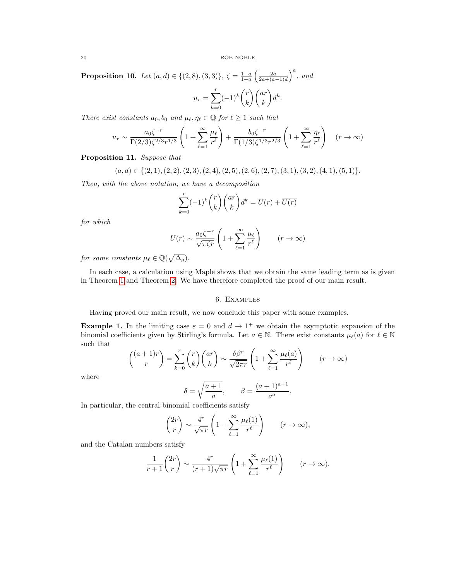**Proposition 10.** Let  $(a, d) \in \{(2, 8), (3, 3)\}, \zeta = \frac{1-a}{1+a} \left(\frac{2a}{2a+(a-1)d}\right)^a$ , and

$$
u_r = \sum_{k=0}^r (-1)^k \binom{r}{k} \binom{ar}{k} d^k.
$$

There exist constants  $a_0, b_0$  and  $\mu_\ell, \eta_\ell \in \mathbb{Q}$  for  $\ell \geq 1$  such that

$$
u_r \sim \frac{a_0 \zeta^{-r}}{\Gamma(2/3) \zeta^{2/3} r^{1/3}} \left(1 + \sum_{\ell=1}^{\infty} \frac{\mu_{\ell}}{r^{\ell}}\right) + \frac{b_0 \zeta^{-r}}{\Gamma(1/3) \zeta^{1/3} r^{2/3}} \left(1 + \sum_{\ell=1}^{\infty} \frac{\eta_{\ell}}{r^{\ell}}\right) \quad (r \to \infty)
$$

Proposition 11. Suppose that

$$
(a,d)\in \{(2,1),(2,2),(2,3),(2,4),(2,5),(2,6),(2,7),(3,1),(3,2),(4,1),(5,1)\}.
$$

Then, with the above notation, we have a decomposition

$$
\sum_{k=0}^{r} (-1)^k {r \choose k} {ar \choose k} d^k = U(r) + \overline{U(r)}
$$

for which

$$
U(r) \sim \frac{a_0 \zeta^{-r}}{\sqrt{\pi \zeta r}} \left( 1 + \sum_{\ell=1}^{\infty} \frac{\mu_{\ell}}{r^{\ell}} \right) \qquad (r \to \infty)
$$

for some constants  $\mu_{\ell} \in \mathbb{Q}(\sqrt{\Delta_g}).$ 

In each case, a calculation using Maple shows that we obtain the same leading term as is given in Theorem [1](#page-1-0) and Theorem [2.](#page-2-1) We have therefore completed the proof of our main result.

### 6. Examples

<span id="page-19-0"></span>Having proved our main result, we now conclude this paper with some examples.

**Example 1.** In the limiting case  $\varepsilon = 0$  and  $d \to 1^+$  we obtain the asymptotic expansion of the binomial coefficients given by Stirling's formula. Let  $a \in \mathbb{N}$ . There exist constants  $\mu_{\ell}(a)$  for  $\ell \in \mathbb{N}$ such that

$$
\binom{(a+1)r}{r} = \sum_{k=0}^{r} \binom{r}{k} \binom{ar}{k} \sim \frac{\delta \beta^r}{\sqrt{2\pi r}} \left( 1 + \sum_{\ell=1}^{\infty} \frac{\mu_{\ell}(a)}{r^{\ell}} \right) \qquad (r \to \infty)
$$

where

$$
\delta = \sqrt{\frac{a+1}{a}}, \qquad \beta = \frac{(a+1)^{a+1}}{a^a}.
$$

In particular, the central binomial coefficients satisfy

$$
\binom{2r}{r} \sim \frac{4^r}{\sqrt{\pi r}} \left( 1 + \sum_{\ell=1}^{\infty} \frac{\mu_{\ell}(1)}{r^{\ell}} \right) \qquad (r \to \infty),
$$

and the Catalan numbers satisfy

$$
\frac{1}{r+1} \binom{2r}{r} \sim \frac{4^r}{(r+1)\sqrt{\pi r}} \left(1 + \sum_{\ell=1}^{\infty} \frac{\mu_{\ell}(1)}{r^{\ell}}\right) \qquad (r \to \infty).
$$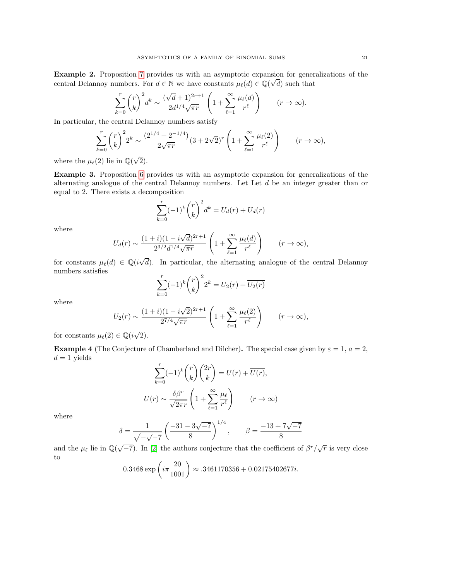Example 2. Proposition [7](#page-17-0) provides us with an asymptotic expansion for generalizations of the √ central Delannoy numbers. For  $d \in \mathbb{N}$  we have constants  $\mu_{\ell}(d) \in \mathbb{Q}(\sqrt{d})$  such that

$$
\sum_{k=0}^r \binom{r}{k}^2 d^k \sim \frac{(\sqrt{d}+1)^{2r+1}}{2d^{1/4}\sqrt{\pi r}} \left(1 + \sum_{\ell=1}^\infty \frac{\mu_\ell(d)}{r^\ell}\right) \qquad (r \to \infty).
$$

In particular, the central Delannoy numbers satisfy

$$
\sum_{k=0}^{r} {r \choose k}^2 2^k \sim \frac{(2^{1/4} + 2^{-1/4})}{2\sqrt{\pi r}} (3 + 2\sqrt{2})^r \left(1 + \sum_{\ell=1}^{\infty} \frac{\mu_{\ell}(2)}{r^{\ell}}\right) \qquad (r \to \infty),
$$

where the  $\mu_{\ell}(2)$  lie in  $\mathbb{Q}(\sqrt{2})$ 2).

Example 3. Proposition [6](#page-17-1) provides us with an asymptotic expansion for generalizations of the alternating analogue of the central Delannoy numbers. Let Let  $d$  be an integer greater than or equal to 2. There exists a decomposition

$$
\sum_{k=0}^{r} (-1)^{k} {r \choose k}^{2} d^{k} = U_{d}(r) + \overline{U_{d}(r)}
$$

where

$$
U_d(r) \sim \frac{(1+i)(1-i\sqrt{d})^{2r+1}}{2^{3/2}d^{1/4}\sqrt{\pi r}} \left(1+\sum_{\ell=1}^{\infty} \frac{\mu_{\ell}(d)}{r^{\ell}}\right) \qquad (r \to \infty),
$$

for constants  $\mu_{\ell}(d) \in \mathbb{Q}(i\sqrt{d})$ d). In particular, the alternating analogue of the central Delannoy numbers satisfies

$$
\sum_{k=0}^{r} (-1)^{k} {r \choose k}^{2} 2^{k} = U_{2}(r) + \overline{U_{2}(r)}
$$

where

$$
U_2(r) \sim \frac{(1+i)(1-i\sqrt{2})^{2r+1}}{2^{7/4}\sqrt{\pi r}} \left(1 + \sum_{\ell=1}^{\infty} \frac{\mu_{\ell}(2)}{r^{\ell}}\right) \qquad (r \to \infty),
$$

for constants  $\mu_{\ell}(2) \in \mathbb{Q}(i\sqrt{2})$ 2).

**Example 4** (The Conjecture of Chamberland and Dilcher). The special case given by  $\varepsilon = 1$ ,  $a = 2$ ,  $d=1$  yields

$$
\sum_{k=0}^{r} (-1)^{k} {r \choose k} {2r \choose k} = U(r) + \overline{U(r)},
$$

$$
U(r) \sim \frac{\delta \beta^{r}}{\sqrt{2\pi r}} \left(1 + \sum_{\ell=1}^{\infty} \frac{\mu_{\ell}}{r^{\ell}}\right) \qquad (r \to \infty)
$$

where

$$
\delta = \frac{1}{\sqrt{-\sqrt{-7}}} \left( \frac{-31 - 3\sqrt{-7}}{8} \right)^{1/4}, \qquad \beta = \frac{-13 + 7\sqrt{-7}}{8}
$$

and the  $\mu_{\ell}$  lie in  $\mathbb{Q}(\sqrt{-7})$ . In [\[2\]](#page-21-2) the authors conjecture that the coefficient of  $\beta^{r}/\sqrt{r}$  is very close to

$$
0.3468 \exp\left(i\pi \frac{20}{1001}\right) \approx .3461170356 + 0.02175402677i.
$$